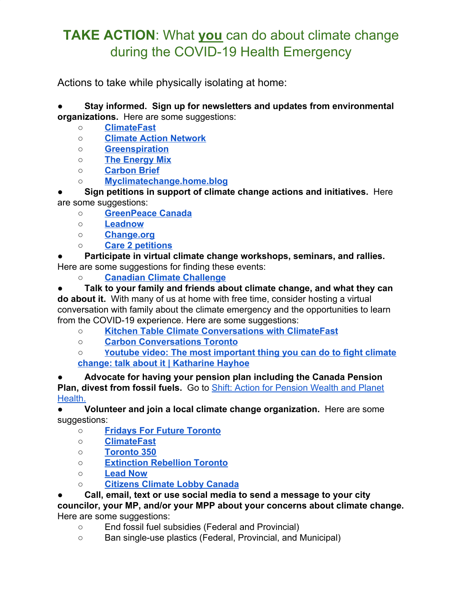## **TAKE ACTION**: What **you** can do about climate change during the COVID-19 Health Emergency

Actions to take while physically isolating at home:

● **Stay informed. Sign up for newsletters and updates from environmental organizations.** Here are some suggestions:

- **○ [ClimateFast](http://climatefast.ca/)**
- **○ [Climate Action Network](https://climateactionnetwork.ca/about-can-rac/)**
- **○ [Greenspiration](http://greenspiration.org/)**
- **○ [The Energy Mix](https://theenergymix.com/)**
- **○ [Carbon Brief](https://www.carbonbrief.org/)**
- **○ [Myclimatechange.home.blog](http://myclimatechange.home.blog/)**

**● Sign petitions in support of climate change actions and initiatives.** Here are some suggestions:

- **○ [GreenPeace Canada](https://www.greenpeace.org/canada/en/)**
- **○ [Leadnow](https://www.leadnow.ca/)**
- **○ [Change.org](https://www.change.org/)**
- **○ [Care 2 petitions](https://www.thepetitionsite.com/environment/#hottest)**

Participate in virtual climate change workshops, seminars, and rallies. Here are some suggestions for finding these events:

○ **[Canadian Climate Challenge](https://climatechallenge.ca/)**

● **Talk to your family and friends about climate change, and what they can do about it.** With many of us at home with free time, consider hosting a virtual conversation with family about the climate emergency and the opportunities to learn from the COVID-19 experience. Here are some suggestions:

- **○ [Kitchen Table Climate Conversations with ClimateFast](http://www.climatefast.ca/kitchen-table-conversations)**
- **○ [Carbon Conversations Toronto](https://www.carbonconversationsto.com/)**

**○ [Y](https://www.youtube.com/watch?time_continue=1&v=-BvcToPZCLI&feature=emb_logo)[outube video: The most important thing you can do to fight climate](https://www.youtube.com/watch?time_continue=1&v=-BvcToPZCLI&feature=emb_logo) [change: talk about it | Katharine Hayhoe](https://www.youtube.com/watch?time_continue=1&v=-BvcToPZCLI&feature=emb_logo)**

**● Advocate for having your pension plan including the Canada Pension Plan, divest from fossil fuels.** Go to [Shift: Action for Pension Wealth and Planet](https://www.shiftaction.ca/) [Health.](https://www.shiftaction.ca/)

**● Volunteer and join a local climate change organization.** Here are some suggestions:

- **[Fridays For Future Toronto](https://www.fridaysforfutureto.org/)**
- **[ClimateFast](http://www.climatefast.ca/)**
- **[Toronto 350](https://www.toronto350.org/)**
- **[Extinction Rebellion Toronto](https://extinctionrebelliontoronto.org/)**
- **[Lead Now](https://www.leadnow.ca/)**
- **[Citizens Climate Lobby Canada](https://canada.citizensclimatelobby.org/)**

● **Call, email, text or use social media to send a message to your city**

**councilor, your MP, and/or your MPP about your concerns about climate change.** Here are some suggestions:

- End fossil fuel subsidies (Federal and Provincial)
- Ban single-use plastics (Federal, Provincial, and Municipal)